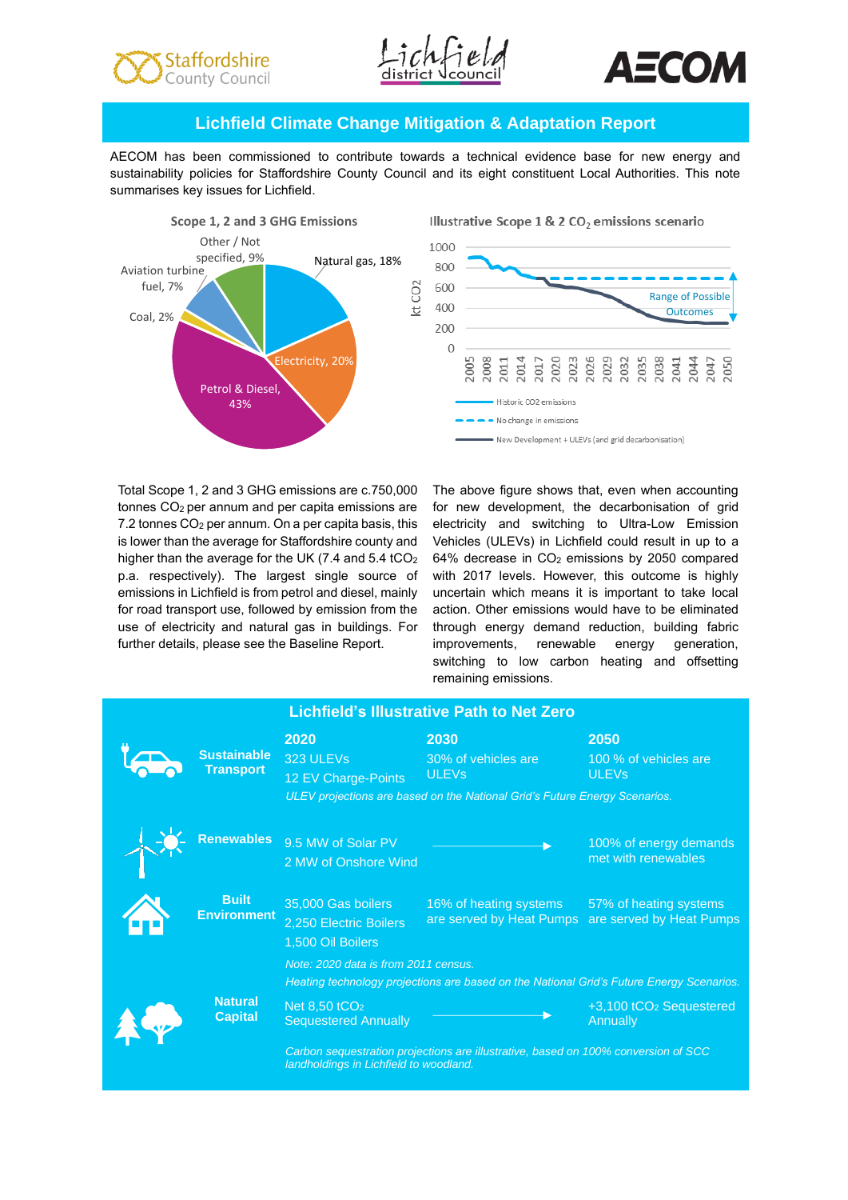





# **Lichfield Climate Change Mitigation & Adaptation Report**

AECOM has been commissioned to contribute towards a technical evidence base for new energy and sustainability policies for Staffordshire County Council and its eight constituent Local Authorities. This note summarises key issues for Lichfield.



Total Scope 1, 2 and 3 GHG emissions are c.750,000 tonnes CO2 per annum and per capita emissions are 7.2 tonnes CO<sup>2</sup> per annum. On a per capita basis, this is lower than the average for Staffordshire county and higher than the average for the UK (7.4 and 5.4 tCO<sub>2</sub> p.a. respectively). The largest single source of emissions in Lichfield is from petrol and diesel, mainly for road transport use, followed by emission from the use of electricity and natural gas in buildings. For further details, please see the Baseline Report.

The above figure shows that, even when accounting for new development, the decarbonisation of grid electricity and switching to Ultra-Low Emission Vehicles (ULEVs) in Lichfield could result in up to a 64% decrease in CO<sup>2</sup> emissions by 2050 compared with 2017 levels. However, this outcome is highly uncertain which means it is important to take local action. Other emissions would have to be eliminated through energy demand reduction, building fabric improvements, renewable energy generation, switching to low carbon heating and offsetting remaining emissions.

| <b>Lichfield's Illustrative Path to Net Zero</b> |                                        |                                                                                                                                  |                                                        |                                                          |
|--------------------------------------------------|----------------------------------------|----------------------------------------------------------------------------------------------------------------------------------|--------------------------------------------------------|----------------------------------------------------------|
|                                                  | <b>Sustainable</b><br><b>Transport</b> | 2020<br>323 ULEVs<br>12 EV Charge-Points                                                                                         | 2030<br>30% of vehicles are<br><b>ULEV<sub>s</sub></b> | 2050<br>100 % of vehicles are<br><b>ULEV<sub>s</sub></b> |
|                                                  |                                        | ULEV projections are based on the National Grid's Future Energy Scenarios.                                                       |                                                        |                                                          |
|                                                  | <b>Renewables</b>                      | 9.5 MW of Solar PV<br>2 MW of Onshore Wind                                                                                       |                                                        | 100% of energy demands<br>met with renewables            |
|                                                  | <b>Built</b><br><b>Environment</b>     | 35,000 Gas boilers<br>2,250 Electric Boilers<br>1,500 Oil Boilers                                                                | 16% of heating systems<br>are served by Heat Pumps     | 57% of heating systems<br>are served by Heat Pumps       |
|                                                  |                                        | Note: 2020 data is from 2011 census.<br>Heating technology projections are based on the National Grid's Future Energy Scenarios. |                                                        |                                                          |
|                                                  | <b>Natural</b><br><b>Capital</b>       | Net $8,50$ tCO <sub>2</sub><br><b>Sequestered Annually</b>                                                                       |                                                        | +3,100 tCO <sub>2</sub> Sequestered<br>Annually          |
|                                                  |                                        | Carbon sequestration projections are illustrative, based on 100% conversion of SCC<br>landholdings in Lichfield to woodland.     |                                                        |                                                          |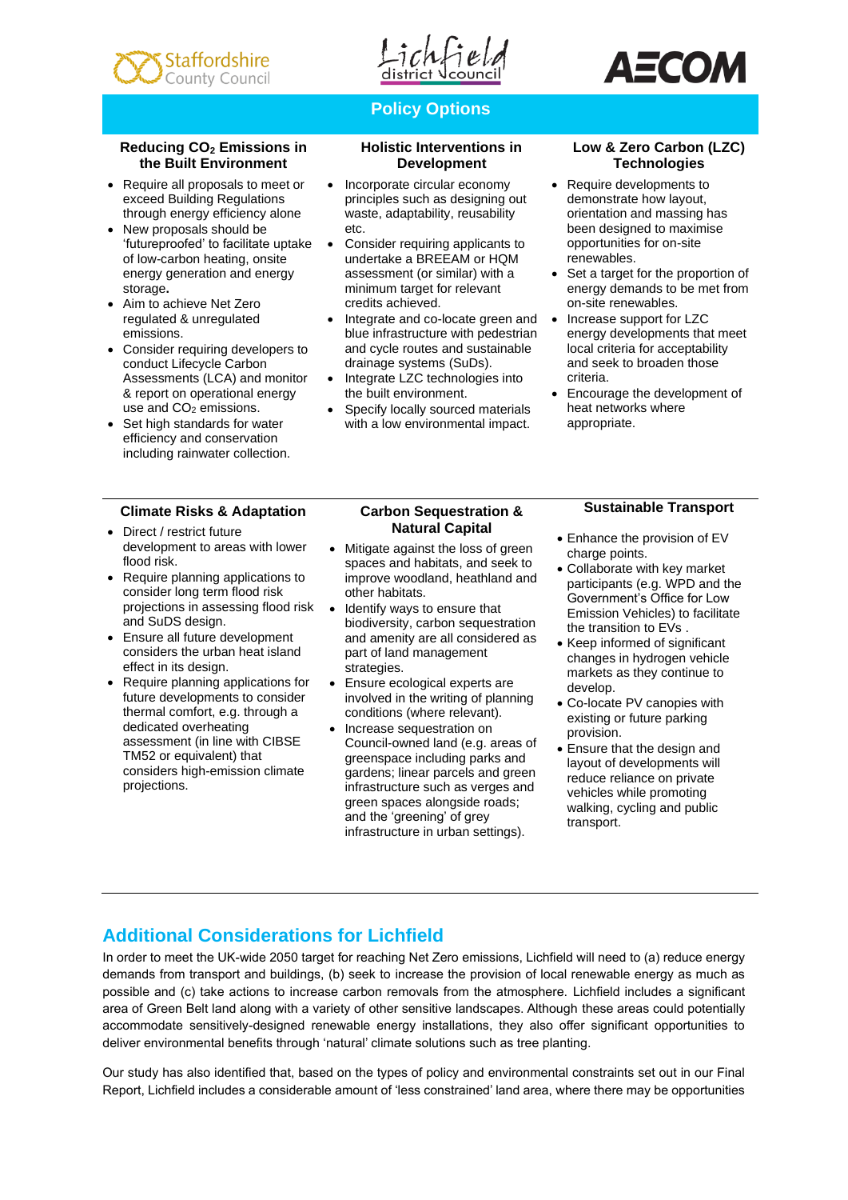



# **Policy Options**

#### **Reducing CO<sup>2</sup> Emissions in the Built Environment**

- Require all proposals to meet or exceed Building Regulations through energy efficiency alone
- New proposals should be 'futureproofed' to facilitate uptake of low-carbon heating, onsite energy generation and energy storage**.**
- Aim to achieve Net Zero regulated & unregulated emissions.
- Consider requiring developers to conduct Lifecycle Carbon Assessments (LCA) and monitor & report on operational energy use and CO<sub>2</sub> emissions.
- Set high standards for water efficiency and conservation including rainwater collection.

## **Climate Risks & Adaptation**

- Direct / restrict future development to areas with lower flood risk.
- Require planning applications to consider long term flood risk projections in assessing flood risk and SuDS design.
- Ensure all future development considers the urban heat island effect in its design.
- Require planning applications for future developments to consider thermal comfort, e.g. through a dedicated overheating assessment (in line with CIBSE TM52 or equivalent) that considers high-emission climate projections.

#### **Holistic Interventions in Development**

- Incorporate circular economy principles such as designing out waste, adaptability, reusability etc.
- Consider requiring applicants to undertake a BREEAM or HQM assessment (or similar) with a minimum target for relevant credits achieved.
- Integrate and co-locate green and blue infrastructure with pedestrian and cycle routes and sustainable drainage systems (SuDs).
- Integrate LZC technologies into the built environment.
- Specify locally sourced materials with a low environmental impact.

### **Low & Zero Carbon (LZC) Technologies**

- Require developments to demonstrate how layout, orientation and massing has been designed to maximise opportunities for on-site renewables.
- Set a target for the proportion of energy demands to be met from on-site renewables.
- Increase support for LZC energy developments that meet local criteria for acceptability and seek to broaden those criteria.
- Encourage the development of heat networks where appropriate.

#### **Carbon Sequestration & Natural Capital**

- Mitigate against the loss of green spaces and habitats, and seek to improve woodland, heathland and other habitats.
- Identify ways to ensure that biodiversity, carbon sequestration and amenity are all considered as part of land management strategies.
- Ensure ecological experts are involved in the writing of planning conditions (where relevant).
- Increase sequestration on Council-owned land (e.g. areas of greenspace including parks and gardens; linear parcels and green infrastructure such as verges and green spaces alongside roads; and the 'greening' of grey infrastructure in urban settings).

## **Sustainable Transport**

- Enhance the provision of EV charge points.
- Collaborate with key market participants (e.g. WPD and the Government's Office for Low Emission Vehicles) to facilitate the transition to EVs .
- Keep informed of significant changes in hydrogen vehicle markets as they continue to develop.
- Co-locate PV canopies with existing or future parking provision.
- Ensure that the design and layout of developments will reduce reliance on private vehicles while promoting walking, cycling and public transport.

# **Additional Considerations for Lichfield**

In order to meet the UK-wide 2050 target for reaching Net Zero emissions, Lichfield will need to (a) reduce energy demands from transport and buildings, (b) seek to increase the provision of local renewable energy as much as possible and (c) take actions to increase carbon removals from the atmosphere. Lichfield includes a significant area of Green Belt land along with a variety of other sensitive landscapes. Although these areas could potentially accommodate sensitively-designed renewable energy installations, they also offer significant opportunities to deliver environmental benefits through 'natural' climate solutions such as tree planting.

Our study has also identified that, based on the types of policy and environmental constraints set out in our Final Report, Lichfield includes a considerable amount of 'less constrained' land area, where there may be opportunities